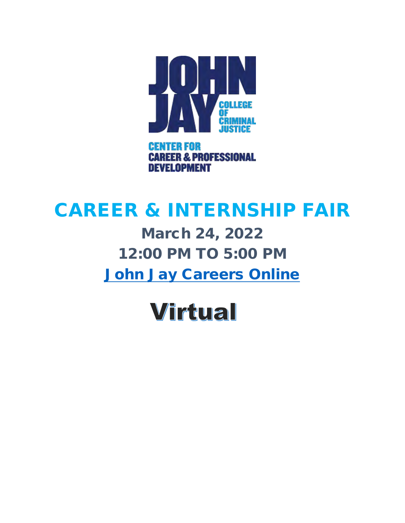

# CAREER & INTERNSHIP FAIR

March 24, 2022 12:00 PM TO 5:00 PM [John Jay Careers Online](https://jjay-cuny-csm.symplicity.com/students)

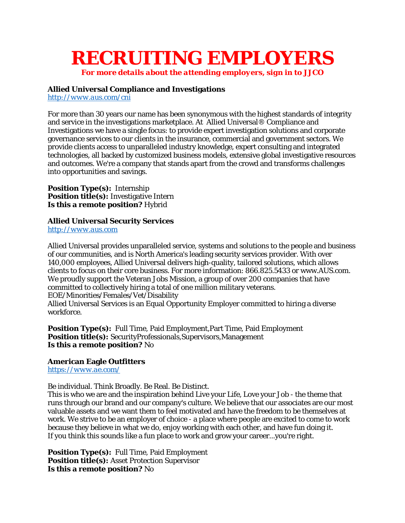# **RECRUITING EMPLOYERS**

*For more details about the attending employers, sign in to JJCO*

#### **Allied Universal Compliance and Investigations** *<http://www.aus.com/cni>*

For more than 30 years our name has been synonymous with the highest standards of integrity and service in the investigations marketplace. At Allied Universal® Compliance and Investigations we have a single focus: to provide expert investigation solutions and corporate governance services to our clients in the insurance, commercial and government sectors. We provide clients access to unparalleled industry knowledge, expert consulting and integrated technologies, all backed by customized business models, extensive global investigative resources and outcomes. We're a company that stands apart from the crowd and transforms challenges into opportunities and savings.

**Position Type(s):** Internship **Position title(s):** Investigative Intern **Is this a remote position?** Hybrid

**Allied Universal Security Services** *[http://www.aus.com](http://www.aus.com/)*

Allied Universal provides unparalleled service, systems and solutions to the people and business of our communities, and is North America's leading security services provider. With over 140,000 employees, Allied Universal delivers high-quality, tailored solutions, which allows clients to focus on their core business. For more information: 866.825.5433 or www.AUS.com. We proudly support the Veteran Jobs Mission, a group of over 200 companies that have committed to collectively hiring a total of one million military veterans. EOE/Minorities/Females/Vet/Disability Allied Universal Services is an Equal Opportunity Employer committed to hiring a diverse workforce.

**Position Type(s):** Full Time, Paid Employment,Part Time, Paid Employment **Position title(s):** SecurityProfessionals,Supervisors,Management **Is this a remote position?** No

**American Eagle Outfitters** *<https://www.ae.com/>*

Be individual. Think Broadly. Be Real. Be Distinct.

This is who we are and the inspiration behind Live your Life, Love your Job - the theme that runs through our brand and our company's culture. We believe that our associates are our most valuable assets and we want them to feel motivated and have the freedom to be themselves at work. We strive to be an employer of choice - a place where people are excited to come to work because they believe in what we do, enjoy working with each other, and have fun doing it. If you think this sounds like a fun place to work and grow your career...you're right.

**Position Type(s):** Full Time, Paid Employment **Position title(s):** Asset Protection Supervisor **Is this a remote position?** No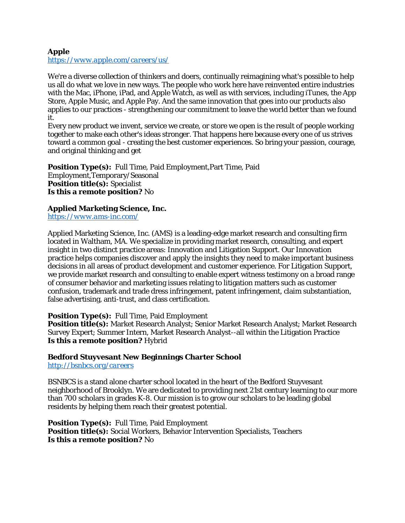## **Apple** *<https://www.apple.com/careers/us/>*

We're a diverse collection of thinkers and doers, continually reimagining what's possible to help us all do what we love in new ways. The people who work here have reinvented entire industries with the Mac, iPhone, iPad, and Apple Watch, as well as with services, including iTunes, the App Store, Apple Music, and Apple Pay. And the same innovation that goes into our products also applies to our practices - strengthening our commitment to leave the world better than we found it.

Every new product we invent, service we create, or store we open is the result of people working together to make each other's ideas stronger. That happens here because every one of us strives toward a common goal - creating the best customer experiences. So bring your passion, courage, and original thinking and get

**Position Type(s):** Full Time, Paid Employment,Part Time, Paid Employment,Temporary/Seasonal **Position title(s):** Specialist **Is this a remote position?** No

**Applied Marketing Science, Inc.** *<https://www.ams-inc.com/>*

Applied Marketing Science, Inc. (AMS) is a leading-edge market research and consulting firm located in Waltham, MA. We specialize in providing market research, consulting, and expert insight in two distinct practice areas: Innovation and Litigation Support. Our Innovation practice helps companies discover and apply the insights they need to make important business decisions in all areas of product development and customer experience. For Litigation Support, we provide market research and consulting to enable expert witness testimony on a broad range of consumer behavior and marketing issues relating to litigation matters such as customer confusion, trademark and trade dress infringement, patent infringement, claim substantiation, false advertising, anti-trust, and class certification.

**Position Type(s):** Full Time, Paid Employment

**Position title(s):** Market Research Analyst; Senior Market Research Analyst; Market Research Survey Expert; Summer Intern, Market Research Analyst--all within the Litigation Practice **Is this a remote position?** Hybrid

**Bedford Stuyvesant New Beginnings Charter School** *<http://bsnbcs.org/careers>*

BSNBCS is a stand alone charter school located in the heart of the Bedford Stuyvesant neighborhood of Brooklyn. We are dedicated to providing next 21st century learning to our more than 700 scholars in grades K-8. Our mission is to grow our scholars to be leading global residents by helping them reach their greatest potential.

**Position Type(s):** Full Time, Paid Employment **Position title(s):** Social Workers, Behavior Intervention Specialists, Teachers **Is this a remote position?** No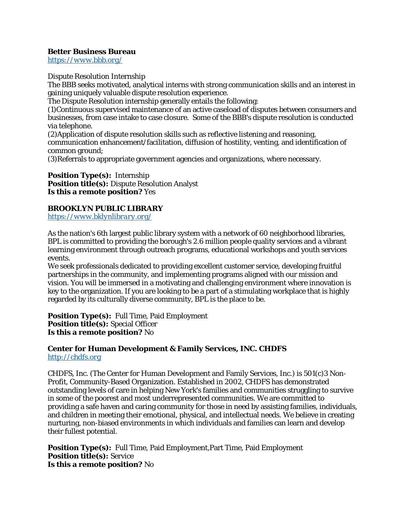**Better Business Bureau** *<https://www.bbb.org/>*

Dispute Resolution Internship

The BBB seeks motivated, analytical interns with strong communication skills and an interest in gaining uniquely valuable dispute resolution experience.

The Dispute Resolution internship generally entails the following:

(1)Continuous supervised maintenance of an active caseload of disputes between consumers and businesses, from case intake to case closure. Some of the BBB's dispute resolution is conducted via telephone.

(2)Application of dispute resolution skills such as reflective listening and reasoning, communication enhancement/facilitation, diffusion of hostility, venting, and identification of common ground;

(3)Referrals to appropriate government agencies and organizations, where necessary.

**Position Type(s):** Internship **Position title(s):** Dispute Resolution Analyst **Is this a remote position?** Yes

**BROOKLYN PUBLIC LIBRARY** *<https://www.bklynlibrary.org/>*

As the nation's 6th largest public library system with a network of 60 neighborhood libraries, BPL is committed to providing the borough's 2.6 million people quality services and a vibrant learning environment through outreach programs, educational workshops and youth services events.

We seek professionals dedicated to providing excellent customer service, developing fruitful partnerships in the community, and implementing programs aligned with our mission and vision. You will be immersed in a motivating and challenging environment where innovation is key to the organization. If you are looking to be a part of a stimulating workplace that is highly regarded by its culturally diverse community, BPL is the place to be.

**Position Type(s):** Full Time, Paid Employment **Position title(s):** Special Officer **Is this a remote position?** No

**Center for Human Development & Family Services, INC. CHDFS** *[http://chdfs.org](http://chdfs.org/)*

CHDFS, Inc. (The Center for Human Development and Family Services, Inc.) is 501(c)3 Non-Profit, Community-Based Organization. Established in 2002, CHDFS has demonstrated outstanding levels of care in helping New York's families and communities struggling to survive in some of the poorest and most underrepresented communities. We are committed to providing a safe haven and caring community for those in need by assisting families, individuals, and children in meeting their emotional, physical, and intellectual needs. We believe in creating nurturing, non-biased environments in which individuals and families can learn and develop their fullest potential.

**Position Type(s):** Full Time, Paid Employment,Part Time, Paid Employment **Position title(s):** Service **Is this a remote position?** No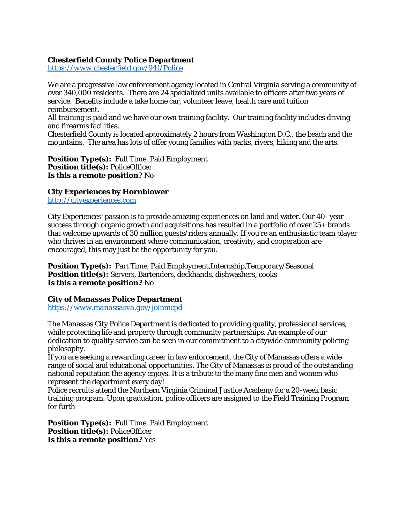**Chesterfield County Police Department** *<https://www.chesterfield.gov/941/Police>*

We are a progressive law enforcement agency located in Central Virginia serving a community of over 340,000 residents. There are 24 specialized units available to officers after two years of service. Benefits include a take home car, volunteer leave, health care and tuition reimbursement.

All training is paid and we have our own training facility. Our training facility includes driving and firearms facilities.

Chesterfield County is located approximately 2 hours from Washington D.C., the beach and the mountains. The area has lots of offer young families with parks, rivers, hiking and the arts.

**Position Type(s):** Full Time, Paid Employment **Position title(s):** PoliceOfficer **Is this a remote position?** No

**City Experiences by Hornblower** *[http://cityexperiences.com](http://cityexperiences.com/)*

City Experiences' passion is to provide amazing experiences on land and water. Our 40- year success through organic growth and acquisitions has resulted in a portfolio of over 25+ brands that welcome upwards of 30 million guests/riders annually. If you're an enthusiastic team player who thrives in an environment where communication, creativity, and cooperation are encouraged, this may just be the opportunity for you.

**Position Type(s):** Part Time, Paid Employment,Internship,Temporary/Seasonal **Position title(s):** Servers, Bartenders, deckhands, dishwashers, cooks **Is this a remote position?** No

**City of Manassas Police Department** *<https://www.manassasva.gov/joinmcpd>*

The Manassas City Police Department is dedicated to providing quality, professional services, while protecting life and property through community partnerships. An example of our dedication to quality service can be seen in our commitment to a citywide community policing philosophy.

If you are seeking a rewarding career in law enforcement, the City of Manassas offers a wide range of social and educational opportunities. The City of Manassas is proud of the outstanding national reputation the agency enjoys. It is a tribute to the many fine men and women who represent the department every day!

Police recruits attend the Northern Virginia Criminal Justice Academy for a 20-week basic training program. Upon graduation, police officers are assigned to the Field Training Program for furth

**Position Type(s):** Full Time, Paid Employment **Position title(s):** PoliceOfficer **Is this a remote position?** Yes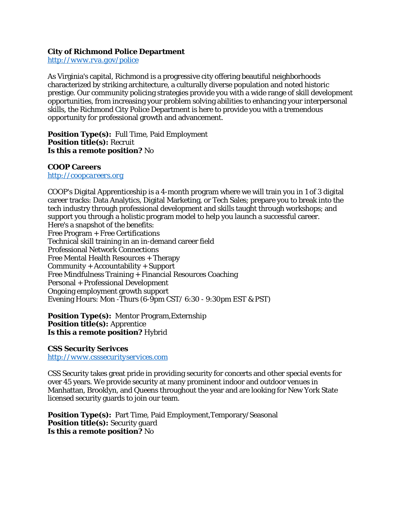**City of Richmond Police Department** *<http://www.rva.gov/police>*

As Virginia's capital, Richmond is a progressive city offering beautiful neighborhoods characterized by striking architecture, a culturally diverse population and noted historic prestige. Our community policing strategies provide you with a wide range of skill development opportunities, from increasing your problem solving abilities to enhancing your interpersonal skills, the Richmond City Police Department is here to provide you with a tremendous opportunity for professional growth and advancement.

**Position Type(s):** Full Time, Paid Employment **Position title(s):** Recruit **Is this a remote position?** No

**COOP Careers** *[http://coopcareers.org](http://coopcareers.org/)*

COOP's Digital Apprenticeship is a 4-month program where we will train you in 1 of 3 digital career tracks: Data Analytics, Digital Marketing, or Tech Sales; prepare you to break into the tech industry through professional development and skills taught through workshops; and support you through a holistic program model to help you launch a successful career. Here's a snapshot of the benefits: Free Program + Free Certifications Technical skill training in an in-demand career field Professional Network Connections Free Mental Health Resources + Therapy Community + Accountability + Support Free Mindfulness Training + Financial Resources Coaching Personal + Professional Development Ongoing employment growth support Evening Hours: Mon -Thurs (6-9pm CST/ 6:30 - 9:30pm EST & PST)

**Position Type(s):** Mentor Program,Externship **Position title(s):** Apprentice **Is this a remote position?** Hybrid

**CSS Security Serivces** *[http://www.csssecurityservices.com](http://www.csssecurityservices.com/)*

CSS Security takes great pride in providing security for concerts and other special events for over 45 years. We provide security at many prominent indoor and outdoor venues in Manhattan, Brooklyn, and Queens throughout the year and are looking for New York State licensed security guards to join our team.

**Position Type(s):** Part Time, Paid Employment,Temporary/Seasonal **Position title(s):** Security guard **Is this a remote position?** No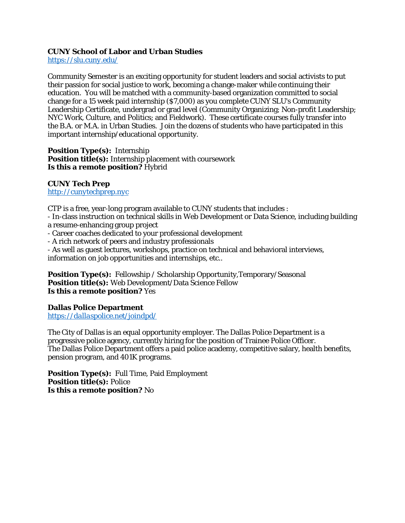## **CUNY School of Labor and Urban Studies** *<https://slu.cuny.edu/>*

Community Semester is an exciting opportunity for student leaders and social activists to put their passion for social justice to work, becoming a change-maker while continuing their education. You will be matched with a community-based organization committed to social change for a 15 week paid internship (\$7,000) as you complete CUNY SLU's Community Leadership Certificate, undergrad or grad level (Community Organizing; Non-profit Leadership; NYC Work, Culture, and Politics; and Fieldwork). These certificate courses fully transfer into the B.A. or M.A. in Urban Studies. Join the dozens of students who have participated in this important internship/educational opportunity.

**Position Type(s):** Internship **Position title(s):** Internship placement with coursework **Is this a remote position?** Hybrid

**CUNY Tech Prep** *[http://cunytechprep.nyc](http://cunytechprep.nyc/)*

CTP is a free, year-long program available to CUNY students that includes :

- In-class instruction on technical skills in Web Development or Data Science, including building a resume-enhancing group project

- Career coaches dedicated to your professional development

- A rich network of peers and industry professionals

- As well as guest lectures, workshops, practice on technical and behavioral interviews, information on job opportunities and internships, etc..

**Position Type(s):** Fellowship / Scholarship Opportunity,Temporary/Seasonal **Position title(s):** Web Development/Data Science Fellow **Is this a remote position?** Yes

**Dallas Police Department** *<https://dallaspolice.net/joindpd/>*

The City of Dallas is an equal opportunity employer. The Dallas Police Department is a progressive police agency, currently hiring for the position of Trainee Police Officer. The Dallas Police Department offers a paid police academy, competitive salary, health benefits, pension program, and 401K programs.

**Position Type(s):** Full Time, Paid Employment **Position title(s):** Police **Is this a remote position?** No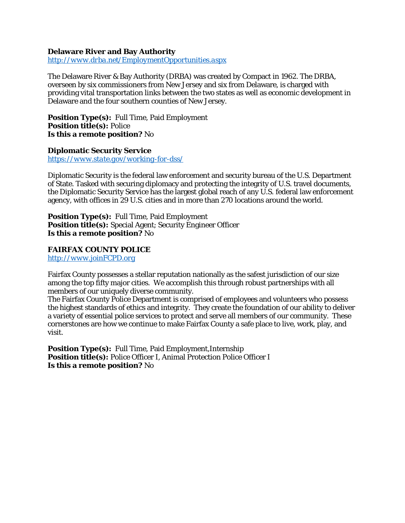**Delaware River and Bay Authority** *<http://www.drba.net/EmploymentOpportunities.aspx>*

The Delaware River & Bay Authority (DRBA) was created by Compact in 1962. The DRBA, overseen by six commissioners from New Jersey and six from Delaware, is charged with providing vital transportation links between the two states as well as economic development in Delaware and the four southern counties of New Jersey.

**Position Type(s):** Full Time, Paid Employment **Position title(s):** Police **Is this a remote position?** No

**Diplomatic Security Service** *<https://www.state.gov/working-for-dss/>*

Diplomatic Security is the federal law enforcement and security bureau of the U.S. Department of State. Tasked with securing diplomacy and protecting the integrity of U.S. travel documents, the Diplomatic Security Service has the largest global reach of any U.S. federal law enforcement agency, with offices in 29 U.S. cities and in more than 270 locations around the world.

**Position Type(s):** Full Time, Paid Employment **Position title(s):** Special Agent; Security Engineer Officer **Is this a remote position?** No

**FAIRFAX COUNTY POLICE** *[http://www.joinFCPD.org](http://www.joinfcpd.org/)*

Fairfax County possesses a stellar reputation nationally as the safest jurisdiction of our size among the top fifty major cities. We accomplish this through robust partnerships with all members of our uniquely diverse community.

The Fairfax County Police Department is comprised of employees and volunteers who possess the highest standards of ethics and integrity. They create the foundation of our ability to deliver a variety of essential police services to protect and serve all members of our community. These cornerstones are how we continue to make Fairfax County a safe place to live, work, play, and visit.

**Position Type(s):** Full Time, Paid Employment,Internship **Position title(s):** Police Officer I, Animal Protection Police Officer I **Is this a remote position?** No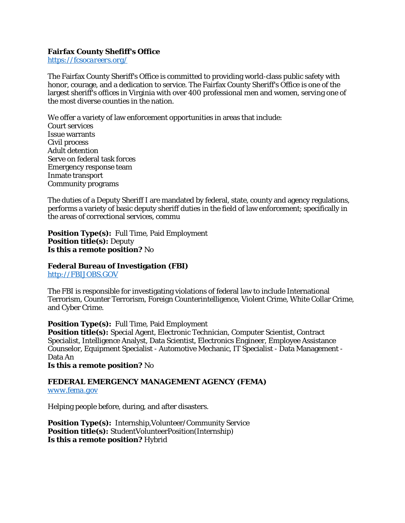#### **Fairfax County Shefiff's Office** *<https://fcsocareers.org/>*

The Fairfax County Sheriff's Office is committed to providing world-class public safety with honor, courage, and a dedication to service. The Fairfax County Sheriff's Office is one of the largest sheriff's offices in Virginia with over 400 professional men and women, serving one of the most diverse counties in the nation.

We offer a variety of law enforcement opportunities in areas that include: Court services Issue warrants Civil process Adult detention Serve on federal task forces Emergency response team Inmate transport Community programs

The duties of a Deputy Sheriff I are mandated by federal, state, county and agency regulations, performs a variety of basic deputy sheriff duties in the field of law enforcement; specifically in the areas of correctional services, commu

**Position Type(s):** Full Time, Paid Employment **Position title(s):** Deputy **Is this a remote position?** No

**Federal Bureau of Investigation (FBI)** *[http://FBIJOBS.GOV](http://fbijobs.gov/)*

The FBI is responsible for investigating violations of federal law to include International Terrorism, Counter Terrorism, Foreign Counterintelligence, Violent Crime, White Collar Crime, and Cyber Crime.

**Position Type(s):** Full Time, Paid Employment **Position title(s):** Special Agent, Electronic Technician, Computer Scientist, Contract Specialist, Intelligence Analyst, Data Scientist, Electronics Engineer, Employee Assistance Counselor, Equipment Specialist - Automotive Mechanic, IT Specialist - Data Management - Data An

**Is this a remote position?** No

**FEDERAL EMERGENCY MANAGEMENT AGENCY (FEMA)** *[www.fema.gov](http://www.fema.gov/)*

Helping people before, during, and after disasters.

**Position Type(s):** Internship,Volunteer/Community Service **Position title(s):** StudentVolunteerPosition(Internship) **Is this a remote position?** Hybrid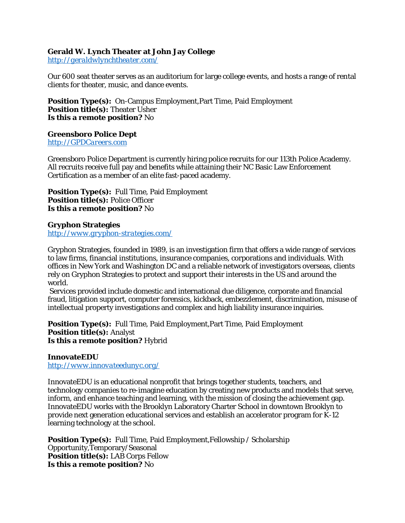**Gerald W. Lynch Theater at John Jay College** *<http://geraldwlynchtheater.com/>*

Our 600 seat theater serves as an auditorium for large college events, and hosts a range of rental clients for theater, music, and dance events.

**Position Type(s):** On-Campus Employment,Part Time, Paid Employment **Position title(s):** Theater Usher **Is this a remote position?** No

**Greensboro Police Dept** *[http://GPDCareers.com](http://gpdcareers.com/)*

Greensboro Police Department is currently hiring police recruits for our 113th Police Academy. All recruits receive full pay and benefits while attaining their NC Basic Law Enforcement Certification as a member of an elite fast-paced academy.

**Position Type(s):** Full Time, Paid Employment **Position title(s):** Police Officer **Is this a remote position?** No

**Gryphon Strategies** *<http://www.gryphon-strategies.com/>*

Gryphon Strategies, founded in 1989, is an investigation firm that offers a wide range of services to law firms, financial institutions, insurance companies, corporations and individuals. With offices in New York and Washington DC and a reliable network of investigators overseas, clients rely on Gryphon Strategies to protect and support their interests in the US and around the world.

Services provided include domestic and international due diligence, corporate and financial fraud, litigation support, computer forensics, kickback, embezzlement, discrimination, misuse of intellectual property investigations and complex and high liability insurance inquiries.

**Position Type(s):** Full Time, Paid Employment,Part Time, Paid Employment **Position title(s):** Analyst **Is this a remote position?** Hybrid

**InnovateEDU** *<http://www.innovateedunyc.org/>*

InnovateEDU is an educational nonprofit that brings together students, teachers, and technology companies to re-imagine education by creating new products and models that serve, inform, and enhance teaching and learning, with the mission of closing the achievement gap. InnovateEDU works with the Brooklyn Laboratory Charter School in downtown Brooklyn to provide next generation educational services and establish an accelerator program for K-12 learning technology at the school.

**Position Type(s):** Full Time, Paid Employment,Fellowship / Scholarship Opportunity,Temporary/Seasonal **Position title(s):** LAB Corps Fellow **Is this a remote position?** No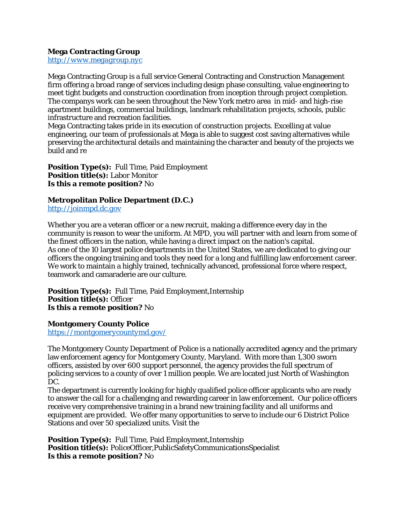**Mega Contracting Group** *[http://www.megagroup.nyc](http://www.megagroup.nyc/)*

Mega Contracting Group is a full service General Contracting and Construction Management firm offering a broad range of services including design phase consulting, value engineering to meet tight budgets and construction coordination from inception through project completion. The companys work can be seen throughout the New York metro area in mid- and high-rise apartment buildings, commercial buildings, landmark rehabilitation projects, schools, public infrastructure and recreation facilities.

Mega Contracting takes pride in its execution of construction projects. Excelling at value engineering, our team of professionals at Mega is able to suggest cost saving alternatives while preserving the architectural details and maintaining the character and beauty of the projects we build and re

**Position Type(s):** Full Time, Paid Employment **Position title(s):** Labor Monitor **Is this a remote position?** No

**Metropolitan Police Department (D.C.)** *[http://joinmpd.dc.gov](http://joinmpd.dc.gov/)*

Whether you are a veteran officer or a new recruit, making a difference every day in the community is reason to wear the uniform. At MPD, you will partner with and learn from some of the finest officers in the nation, while having a direct impact on the nation's capital. As one of the 10 largest police departments in the United States, we are dedicated to giving our officers the ongoing training and tools they need for a long and fulfilling law enforcement career. We work to maintain a highly trained, technically advanced, professional force where respect, teamwork and camaraderie are our culture.

**Position Type(s):** Full Time, Paid Employment,Internship **Position title(s):** Officer **Is this a remote position?** No

**Montgomery County Police** *<https://montgomerycountymd.gov/>*

The Montgomery County Department of Police is a nationally accredited agency and the primary law enforcement agency for Montgomery County, Maryland. With more than 1,300 sworn officers, assisted by over 600 support personnel, the agency provides the full spectrum of policing services to a county of over 1 million people. We are located just North of Washington DC.

The department is currently looking for highly qualified police officer applicants who are ready to answer the call for a challenging and rewarding career in law enforcement. Our police officers receive very comprehensive training in a brand new training facility and all uniforms and equipment are provided. We offer many opportunities to serve to include our 6 District Police Stations and over 50 specialized units. Visit the

**Position Type(s):** Full Time, Paid Employment,Internship **Position title(s):** PoliceOfficer,PublicSafetyCommunicationsSpecialist **Is this a remote position?** No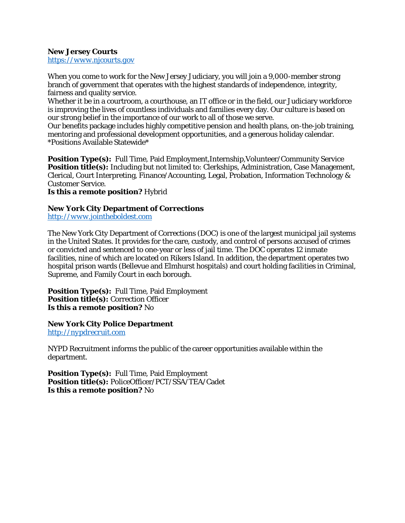**New Jersey Courts** *[https://www.njcourts.gov](https://www.njcourts.gov/)*

When you come to work for the New Jersey Judiciary, you will join a 9,000-member strong branch of government that operates with the highest standards of independence, integrity, fairness and quality service.

Whether it be in a courtroom, a courthouse, an IT office or in the field, our Judiciary workforce is improving the lives of countless individuals and families every day. Our culture is based on our strong belief in the importance of our work to all of those we serve.

Our benefits package includes highly competitive pension and health plans, on-the-job training, mentoring and professional development opportunities, and a generous holiday calendar. \*Positions Available Statewide\*

**Position Type(s):** Full Time, Paid Employment,Internship,Volunteer/Community Service **Position title(s):** Including but not limited to: Clerkships, Administration, Case Management, Clerical, Court Interpreting, Finance/Accounting, Legal, Probation, Information Technology & Customer Service.

**Is this a remote position?** Hybrid

**New York City Department of Corrections** *[http://www.jointheboldest.com](http://www.jointheboldest.com/)*

The New York City Department of Corrections (DOC) is one of the largest municipal jail systems in the United States. It provides for the care, custody, and control of persons accused of crimes or convicted and sentenced to one-year or less of jail time. The DOC operates 12 inmate facilities, nine of which are located on Rikers Island. In addition, the department operates two hospital prison wards (Bellevue and Elmhurst hospitals) and court holding facilities in Criminal, Supreme, and Family Court in each borough.

**Position Type(s):** Full Time, Paid Employment **Position title(s):** Correction Officer **Is this a remote position?** No

**New York City Police Department** *[http://nypdrecruit.com](http://nypdrecruit.com/)*

NYPD Recruitment informs the public of the career opportunities available within the department.

**Position Type(s):** Full Time, Paid Employment **Position title(s):** PoliceOfficer/PCT/SSA/TEA/Cadet **Is this a remote position?** No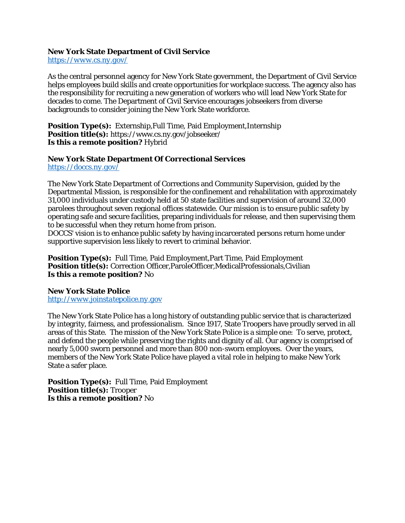**New York State Department of Civil Service** *<https://www.cs.ny.gov/>*

As the central personnel agency for New York State government, the Department of Civil Service helps employees build skills and create opportunities for workplace success. The agency also has the responsibility for recruiting a new generation of workers who will lead New York State for decades to come. The Department of Civil Service encourages jobseekers from diverse backgrounds to consider joining the New York State workforce.

**Position Type(s):** Externship,Full Time, Paid Employment,Internship **Position title(s):** https://www.cs.ny.gov/jobseeker/ **Is this a remote position?** Hybrid

**New York State Department Of Correctional Services** *<https://doccs.ny.gov/>*

The New York State Department of Corrections and Community Supervision, guided by the Departmental Mission, is responsible for the confinement and rehabilitation with approximately 31,000 individuals under custody held at 50 state facilities and supervision of around 32,000 parolees throughout seven regional offices statewide. Our mission is to ensure public safety by operating safe and secure facilities, preparing individuals for release, and then supervising them to be successful when they return home from prison.

DOCCS' vision is to enhance public safety by having incarcerated persons return home under supportive supervision less likely to revert to criminal behavior.

**Position Type(s):** Full Time, Paid Employment,Part Time, Paid Employment **Position title(s):** Correction Officer,ParoleOfficer,MedicalProfessionals,Civilian **Is this a remote position?** No

**New York State Police** *[http://www.joinstatepolice.ny.gov](http://www.joinstatepolice.ny.gov/)*

The New York State Police has a long history of outstanding public service that is characterized by integrity, fairness, and professionalism. Since 1917, State Troopers have proudly served in all areas of this State. The mission of the New York State Police is a simple one: To serve, protect, and defend the people while preserving the rights and dignity of all. Our agency is comprised of nearly 5,000 sworn personnel and more than 800 non-sworn employees. Over the years, members of the New York State Police have played a vital role in helping to make New York State a safer place.

**Position Type(s):** Full Time, Paid Employment **Position title(s):** Trooper **Is this a remote position?** No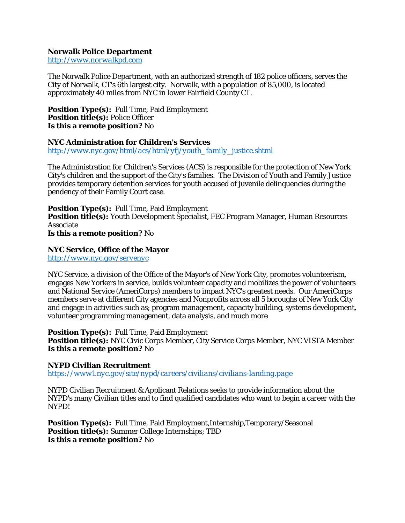**Norwalk Police Department** *[http://www.norwalkpd.com](http://www.norwalkpd.com/)*

The Norwalk Police Department, with an authorized strength of 182 police officers, serves the City of Norwalk, CT's 6th largest city. Norwalk, with a population of 85,000, is located approximately 40 miles from NYC in lower Fairfield County CT.

**Position Type(s):** Full Time, Paid Employment **Position title(s):** Police Officer **Is this a remote position?** No

**NYC Administration for Children's Services** *[http://www.nyc.gov/html/acs/html/yfj/youth\\_family\\_justice.shtml](http://www.nyc.gov/html/acs/html/yfj/youth_family_justice.shtml)*

The Administration for Children's Services (ACS) is responsible for the protection of New York City's children and the support of the City's families. The Division of Youth and Family Justice provides temporary detention services for youth accused of juvenile delinquencies during the pendency of their Family Court case.

**Position Type(s):** Full Time, Paid Employment **Position title(s):** Youth Development Specialist, FEC Program Manager, Human Resources Associate **Is this a remote position?** No

**NYC Service, Office of the Mayor** *<http://www.nyc.gov/servenyc>*

NYC Service, a division of the Office of the Mayor's of New York City, promotes volunteerism, engages New Yorkers in service, builds volunteer capacity and mobilizes the power of volunteers and National Service (AmeriCorps) members to impact NYC's greatest needs. Our AmeriCorps members serve at different City agencies and Nonprofits across all 5 boroughs of New York City and engage in activities such as; program management, capacity building, systems development, volunteer programming management, data analysis, and much more

**Position Type(s):** Full Time, Paid Employment **Position title(s):** NYC Civic Corps Member, City Service Corps Member, NYC VISTA Member **Is this a remote position?** No

**NYPD Civilian Recruitment** *<https://www1.nyc.gov/site/nypd/careers/civilians/civilians-landing.page>*

NYPD Civilian Recruitment & Applicant Relations seeks to provide information about the NYPD's many Civilian titles and to find qualified candidates who want to begin a career with the NYPD!

**Position Type(s):** Full Time, Paid Employment,Internship,Temporary/Seasonal **Position title(s):** Summer College Internships; TBD **Is this a remote position?** No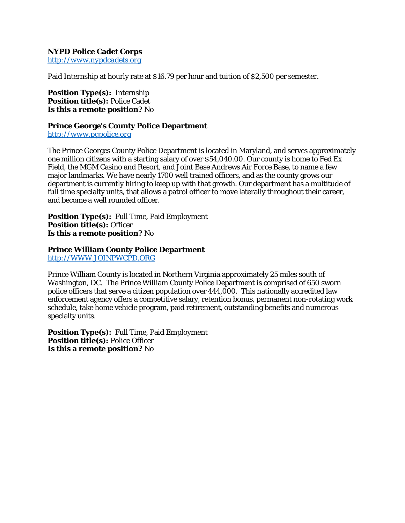**NYPD Police Cadet Corps** *[http://www.nypdcadets.org](http://www.nypdcadets.org/)*

Paid Internship at hourly rate at \$16.79 per hour and tuition of \$2,500 per semester.

**Position Type(s):** Internship **Position title(s):** Police Cadet **Is this a remote position?** No

**Prince George's County Police Department** *[http://www.pgpolice.org](http://www.pgpolice.org/)*

The Prince Georges County Police Department is located in Maryland, and serves approximately one million citizens with a starting salary of over \$54,040.00. Our county is home to Fed Ex Field, the MGM Casino and Resort, and Joint Base Andrews Air Force Base, to name a few major landmarks. We have nearly 1700 well trained officers, and as the county grows our department is currently hiring to keep up with that growth. Our department has a multitude of full time specialty units, that allows a patrol officer to move laterally throughout their career, and become a well rounded officer.

**Position Type(s):** Full Time, Paid Employment **Position title(s):** Officer **Is this a remote position?** No

**Prince William County Police Department** *[http://WWW.JOINPWCPD.ORG](http://www.joinpwcpd.org/)*

Prince William County is located in Northern Virginia approximately 25 miles south of Washington, DC. The Prince William County Police Department is comprised of 650 sworn police officers that serve a citizen population over 444,000. This nationally accredited law enforcement agency offers a competitive salary, retention bonus, permanent non-rotating work schedule, take home vehicle program, paid retirement, outstanding benefits and numerous specialty units.

**Position Type(s):** Full Time, Paid Employment **Position title(s):** Police Officer **Is this a remote position?** No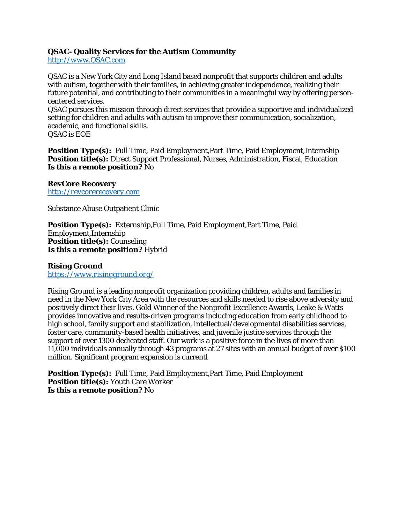**QSAC- Quality Services for the Autism Community** *[http://www.QSAC.com](http://www.qsac.com/)*

QSAC is a New York City and Long Island based nonprofit that supports children and adults with autism, together with their families, in achieving greater independence, realizing their future potential, and contributing to their communities in a meaningful way by offering personcentered services.

QSAC pursues this mission through direct services that provide a supportive and individualized setting for children and adults with autism to improve their communication, socialization, academic, and functional skills.

QSAC is EOE

**Position Type(s):** Full Time, Paid Employment,Part Time, Paid Employment,Internship **Position title(s):** Direct Support Professional, Nurses, Administration, Fiscal, Education **Is this a remote position?** No

**RevCore Recovery** *[http://revcorerecovery.com](http://revcorerecovery.com/)*

Substance Abuse Outpatient Clinic

**Position Type(s):** Externship,Full Time, Paid Employment,Part Time, Paid Employment,Internship **Position title(s):** Counseling **Is this a remote position?** Hybrid

**Rising Ground** *<https://www.risingground.org/>*

Rising Ground is a leading nonprofit organization providing children, adults and families in need in the New York City Area with the resources and skills needed to rise above adversity and positively direct their lives. Gold Winner of the Nonprofit Excellence Awards, Leake & Watts provides innovative and results-driven programs including education from early childhood to high school, family support and stabilization, intellectual/developmental disabilities services, foster care, community-based health initiatives, and juvenile justice services through the support of over 1300 dedicated staff. Our work is a positive force in the lives of more than 11,000 individuals annually through 43 programs at 27 sites with an annual budget of over \$100 million. Significant program expansion is currentl

**Position Type(s):** Full Time, Paid Employment,Part Time, Paid Employment **Position title(s):** Youth Care Worker **Is this a remote position?** No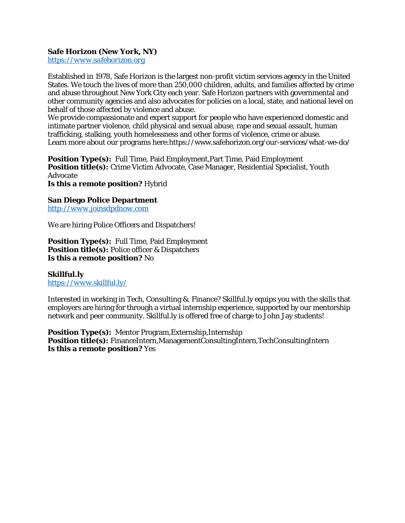**Safe Horizon (New York, NY)** *[https://www.safehorizon.org](https://www.safehorizon.org/)*

Established in 1978, Safe Horizon is the largest non-profit victim services agency in the United States. We touch the lives of more than 250,000 children, adults, and families affected by crime and abuse throughout New York City each year. Safe Horizon partners with governmental and other community agencies and also advocates for policies on a local, state, and national level on behalf of those affected by violence and abuse.

We provide compassionate and expert support for people who have experienced domestic and intimate partner violence, child physical and sexual abuse, rape and sexual assault, human trafficking, stalking, youth homelessness and other forms of violence, crime or abuse. Learn more about our programs here:https://www.safehorizon.org/our-services/what-we-do/

**Position Type(s):** Full Time, Paid Employment,Part Time, Paid Employment **Position title(s):** Crime Victim Advocate, Case Manager, Residential Specialist, Youth Advocate **Is this a remote position?** Hybrid

**San Diego Police Department** *[http://www.joinsdpdnow.com](http://www.joinsdpdnow.com/)*

We are hiring Police Officers and Dispatchers!

**Position Type(s):** Full Time, Paid Employment **Position title(s):** Police officer & Dispatchers **Is this a remote position?** No

**Skillful.ly** *<https://www.skillful.ly/>*

Interested in working in Tech, Consulting &. Finance? Skillful.ly equips you with the skills that employers are hiring for through a virtual internship experience, supported by our mentorship network and peer community. Skillful.ly is offered free of charge to John Jay students!

**Position Type(s):** Mentor Program,Externship,Internship **Position title(s):** FinanceIntern,ManagementConsultingIntern,TechConsultingIntern **Is this a remote position?** Yes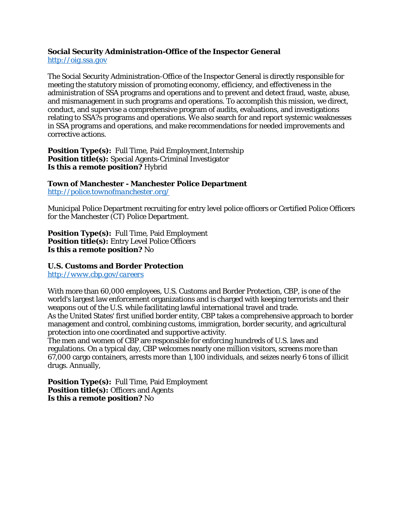**Social Security Administration-Office of the Inspector General** *[http://oig.ssa.gov](http://oig.ssa.gov/)*

The Social Security Administration-Office of the Inspector General is directly responsible for meeting the statutory mission of promoting economy, efficiency, and effectiveness in the administration of SSA programs and operations and to prevent and detect fraud, waste, abuse, and mismanagement in such programs and operations. To accomplish this mission, we direct, conduct, and supervise a comprehensive program of audits, evaluations, and investigations relating to SSA?s programs and operations. We also search for and report systemic weaknesses in SSA programs and operations, and make recommendations for needed improvements and corrective actions.

**Position Type(s):** Full Time, Paid Employment,Internship **Position title(s):** Special Agents-Criminal Investigator **Is this a remote position?** Hybrid

**Town of Manchester - Manchester Police Department** *<http://police.townofmanchester.org/>*

Municipal Police Department recruiting for entry level police officers or Certified Police Officers for the Manchester (CT) Police Department.

**Position Type(s):** Full Time, Paid Employment **Position title(s):** Entry Level Police Officers **Is this a remote position?** No

**U.S. Customs and Border Protection** *<http://www.cbp.gov/careers>*

With more than 60,000 employees, U.S. Customs and Border Protection, CBP, is one of the world's largest law enforcement organizations and is charged with keeping terrorists and their weapons out of the U.S. while facilitating lawful international travel and trade. As the United States' first unified border entity, CBP takes a comprehensive approach to border management and control, combining customs, immigration, border security, and agricultural protection into one coordinated and supportive activity.

The men and women of CBP are responsible for enforcing hundreds of U.S. laws and regulations. On a typical day, CBP welcomes nearly one million visitors, screens more than 67,000 cargo containers, arrests more than 1,100 individuals, and seizes nearly 6 tons of illicit drugs. Annually,

**Position Type(s):** Full Time, Paid Employment **Position title(s):** Officers and Agents **Is this a remote position?** No